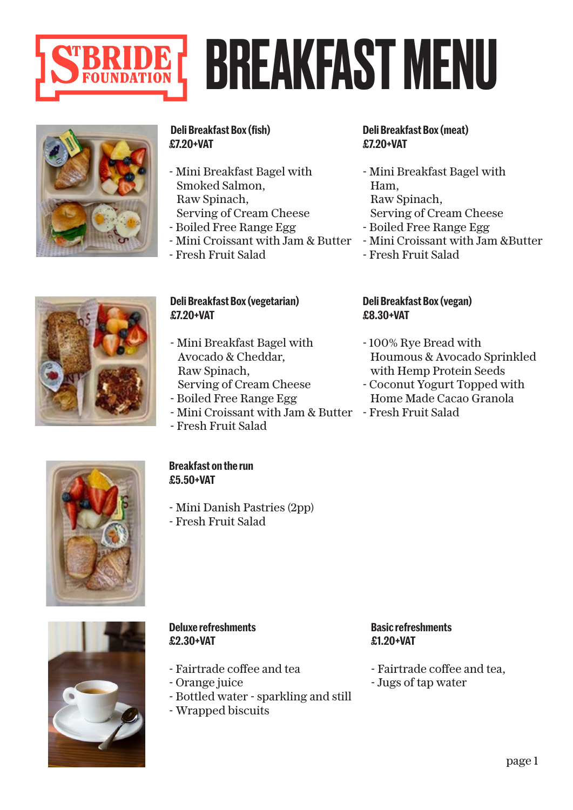

### BREAKFAST MENU



### **Deli Breakfast Box (fish) £7.20+VAT**

- Mini Breakfast Bagel with Smoked Salmon, Raw Spinach, Serving of Cream Cheese
- Boiled Free Range Egg

**Deli Breakfast Box (vegetarian)**

- Mini Breakfast Bagel with Avocado & Cheddar,

 Serving of Cream Cheese - Boiled Free Range Egg

- Mini Croissant with Jam & Butter
- Fresh Fruit Salad

**£7.20+VAT**

### **Deli Breakfast Box (meat) £7.20+VAT**

- Mini Breakfast Bagel with Ham, Raw Spinach, Serving of Cream Cheese
- Boiled Free Range Egg
- Mini Croissant with Jam &Butter
- Fresh Fruit Salad

### **Deli Breakfast Box (vegan) £8.30+VAT**

- 100% Rye Bread with Houmous & Avocado Sprinkled with Hemp Protein Seeds
- Coconut Yogurt Topped with Home Made Cacao Granola
- Mini Croissant with Jam & Butter Fresh Fruit Salad



### **Breakfast on the run**

- Fresh Fruit Salad

Raw Spinach,

- **£5.50+VAT**
- Mini Danish Pastries (2pp)
- Fresh Fruit Salad



### **Deluxe refreshments £2.30+VAT**

- Fairtrade coffee and tea
- Orange juice
- Bottled water sparkling and still
- Wrapped biscuits

### **Basic refreshments £1.20+VAT**

- Fairtrade coffee and tea,
- Jugs of tap water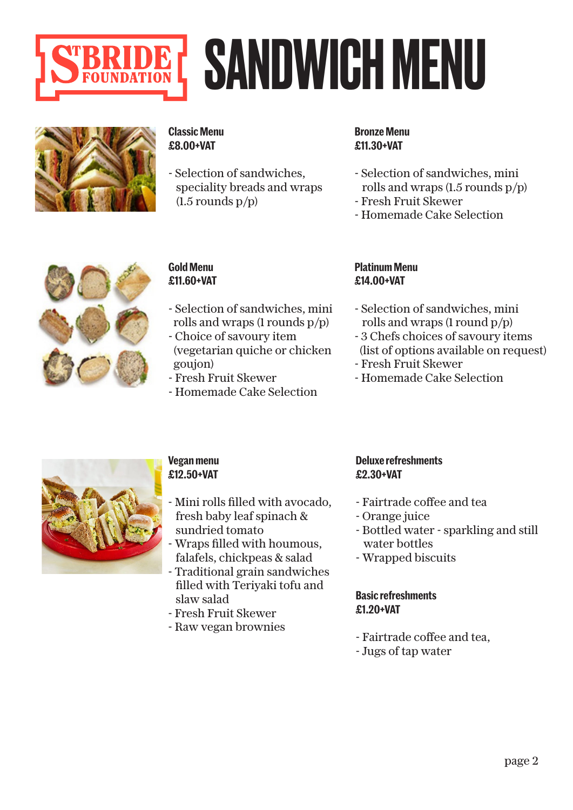

### SANDWICH MENU



### **Classic Menu £8.00+VAT**

- Selection of sandwiches, speciality breads and wraps  $(1.5$  rounds  $p/p)$ 

### **Bronze Menu £11.30+VAT**

- Selection of sandwiches, mini rolls and wraps (1.5 rounds p/p)
- Fresh Fruit Skewer
- Homemade Cake Selection



### **Gold Menu £11.60+VAT**

- Selection of sandwiches, mini rolls and wraps (1 rounds p/p)
- Choice of savoury item (vegetarian quiche or chicken
- goujon) - Fresh Fruit Skewer
- Homemade Cake Selection

### **Platinum Menu £14.00+VAT**

- Selection of sandwiches, mini rolls and wraps (1 round p/p)
- 3 Chefs choices of savoury items (list of options available on request)
- Fresh Fruit Skewer
- Homemade Cake Selection



### **Vegan menu £12.50+VAT**

- Mini rolls filled with avocado, fresh baby leaf spinach & sundried tomato
- Wraps filled with houmous, falafels, chickpeas & salad
- Traditional grain sandwiches filled with Teriyaki tofu and slaw salad
- Fresh Fruit Skewer
- Raw vegan brownies

### **Deluxe refreshments £2.30+VAT**

- Fairtrade coffee and tea
- Orange juice
- Bottled water sparkling and still water bottles
- Wrapped biscuits

### **Basic refreshments £1.20+VAT**

- Fairtrade coffee and tea,
- Jugs of tap water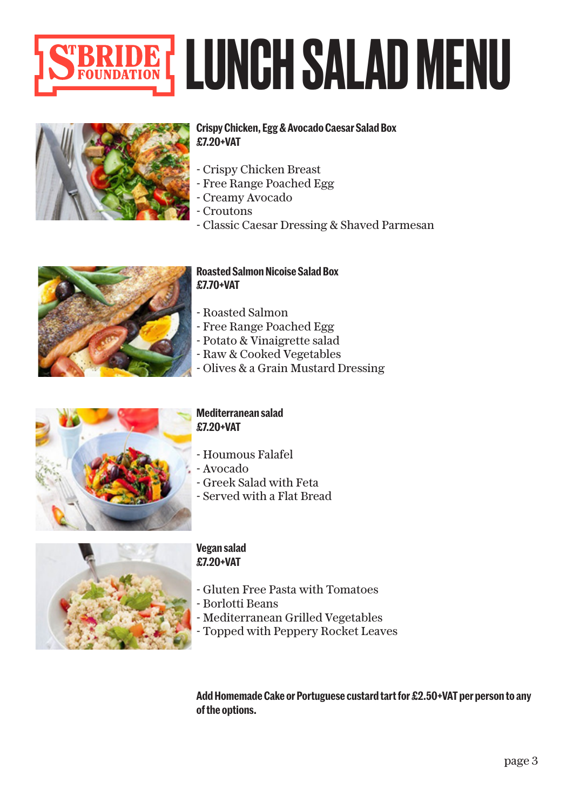



### **Crispy Chicken, Egg & Avocado Caesar Salad Box £7.20+VAT**

- Crispy Chicken Breast
- Free Range Poached Egg
- Creamy Avocado
- Croutons
- Classic Caesar Dressing & Shaved Parmesan



### **Roasted Salmon Nicoise Salad Box £7.70+VAT**

- Roasted Salmon
- Free Range Poached Egg
- Potato & Vinaigrette salad
- Raw & Cooked Vegetables
- Olives & a Grain Mustard Dressing



### **Mediterranean salad £7.20+VAT**

- Houmous Falafel
- Avocado
- Greek Salad with Feta
- Served with a Flat Bread



### **Vegan salad £7.20+VAT**

- Gluten Free Pasta with Tomatoes
- Borlotti Beans
- Mediterranean Grilled Vegetables
- Topped with Peppery Rocket Leaves

**Add Homemade Cake or Portuguese custard tart for £2.50+VAT per person to any of the options.**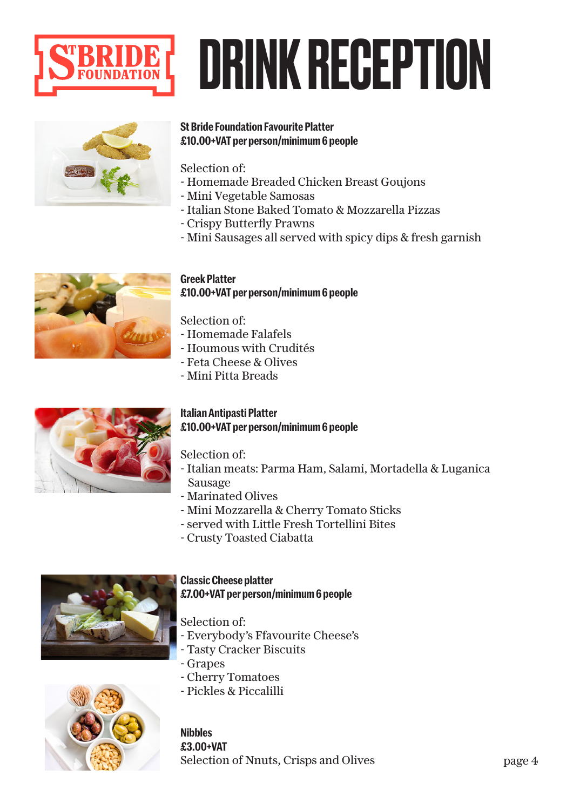

### DRINK RECEPTION



### **St Bride Foundation Favourite Platter £10.00+VAT per person/minimum 6 people**

Selection of:

- Homemade Breaded Chicken Breast Goujons
- Mini Vegetable Samosas
- Italian Stone Baked Tomato & Mozzarella Pizzas
- Crispy Butterfly Prawns
- Mini Sausages all served with spicy dips & fresh garnish



### **Greek Platter £10.00+VAT per person/minimum 6 people**

Selection of:

- Homemade Falafels
- Houmous with Crudités
- Feta Cheese & Olives
- Mini Pitta Breads

### **Italian Antipasti Platter £10.00+VAT per person/minimum 6 people**

Selection of:

- Italian meats: Parma Ham, Salami, Mortadella & Luganica Sausage
- Marinated Olives
- Mini Mozzarella & Cherry Tomato Sticks
- served with Little Fresh Tortellini Bites
- Crusty Toasted Ciabatta



### **Classic Cheese platter £7.00+VAT per person/minimum 6 people**

Selection of:

- Everybody's Ffavourite Cheese's
- Tasty Cracker Biscuits
- Grapes
- Cherry Tomatoes
- Pickles & Piccalilli



**Nibbles £3.00+VAT** Selection of Nnuts, Crisps and Olives page 4

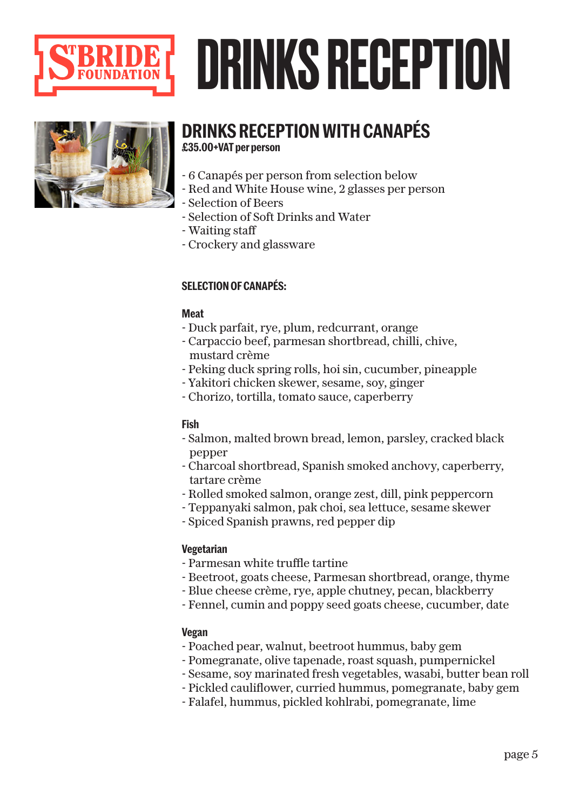

### DRINKS RECEPTION



### **DRINKS RECEPTION WITH CANAPÉS £35.00+VAT per person**

- 6 Canapés per person from selection below
- Red and White House wine, 2 glasses per person
- Selection of Beers
- Selection of Soft Drinks and Water
- Waiting staff
- Crockery and glassware

### **SELECTION OF CANAPÉS:**

### **Meat**

- Duck parfait, rye, plum, redcurrant, orange
- Carpaccio beef, parmesan shortbread, chilli, chive, mustard crème
- Peking duck spring rolls, hoi sin, cucumber, pineapple
- Yakitori chicken skewer, sesame, soy, ginger
- Chorizo, tortilla, tomato sauce, caperberry

### **Fish**

- Salmon, malted brown bread, lemon, parsley, cracked black pepper
- Charcoal shortbread, Spanish smoked anchovy, caperberry, tartare crème
- Rolled smoked salmon, orange zest, dill, pink peppercorn
- Teppanyaki salmon, pak choi, sea lettuce, sesame skewer
- Spiced Spanish prawns, red pepper dip

### **Vegetarian**

- Parmesan white truffle tartine
- Beetroot, goats cheese, Parmesan shortbread, orange, thyme
- Blue cheese crème, rye, apple chutney, pecan, blackberry
- Fennel, cumin and poppy seed goats cheese, cucumber, date

### **Vegan**

- Poached pear, walnut, beetroot hummus, baby gem
- Pomegranate, olive tapenade, roast squash, pumpernickel
- Sesame, soy marinated fresh vegetables, wasabi, butter bean roll
- Pickled cauliflower, curried hummus, pomegranate, baby gem
- Falafel, hummus, pickled kohlrabi, pomegranate, lime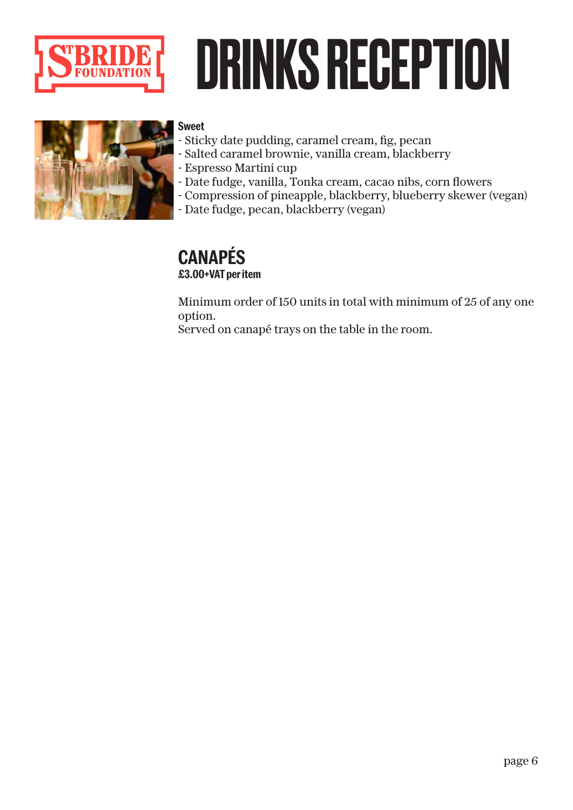

### DRINKS RECEPTION



### **Sweet**

- Sticky date pudding, caramel cream, fig, pecan
- Salted caramel brownie, vanilla cream, blackberry
- Espresso Martini cup
- Date fudge, vanilla, Tonka cream, cacao nibs, corn flowers
- Compression of pineapple, blackberry, blueberry skewer (vegan)
- Date fudge, pecan, blackberry (vegan)

### **CANAPÉS £3.00+VAT per item**

Minimum order of 150 units in total with minimum of 25 of any one option.

Served on canapé trays on the table in the room.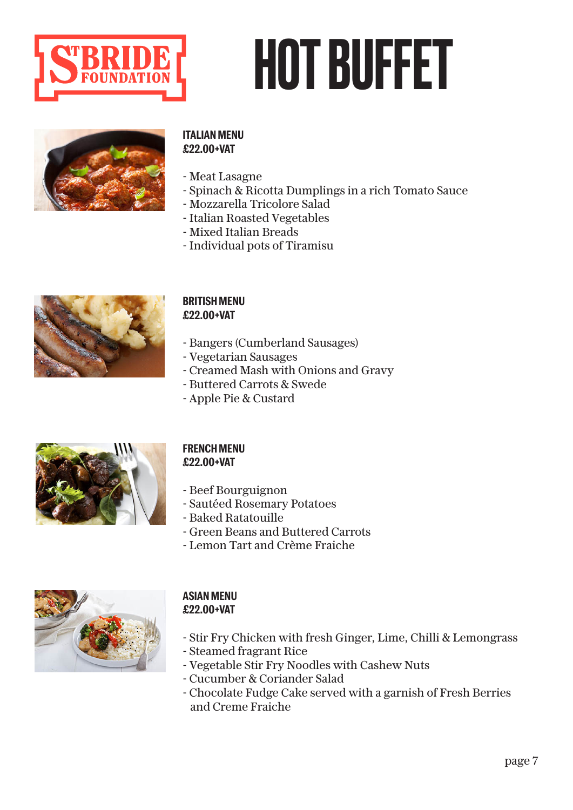

### HOT BUFFET



### **ITALIAN MENU £22.00+VAT**

- Meat Lasagne
- Spinach & Ricotta Dumplings in a rich Tomato Sauce
- Mozzarella Tricolore Salad
- Italian Roasted Vegetables
- Mixed Italian Breads
- Individual pots of Tiramisu



### **BRITISH MENU £22.00+VAT**

- Bangers (Cumberland Sausages)
- Vegetarian Sausages
- Creamed Mash with Onions and Gravy
- Buttered Carrots & Swede
- Apple Pie & Custard



### **FRENCH MENU £22.00+VAT**

- Beef Bourguignon
- Sautéed Rosemary Potatoes
- Baked Ratatouille
- Green Beans and Buttered Carrots
- Lemon Tart and Crème Fraiche



### **ASIAN MENU £22.00+VAT**

- Stir Fry Chicken with fresh Ginger, Lime, Chilli & Lemongrass
- Steamed fragrant Rice
- Vegetable Stir Fry Noodles with Cashew Nuts
- Cucumber & Coriander Salad
- Chocolate Fudge Cake served with a garnish of Fresh Berries and Creme Fraiche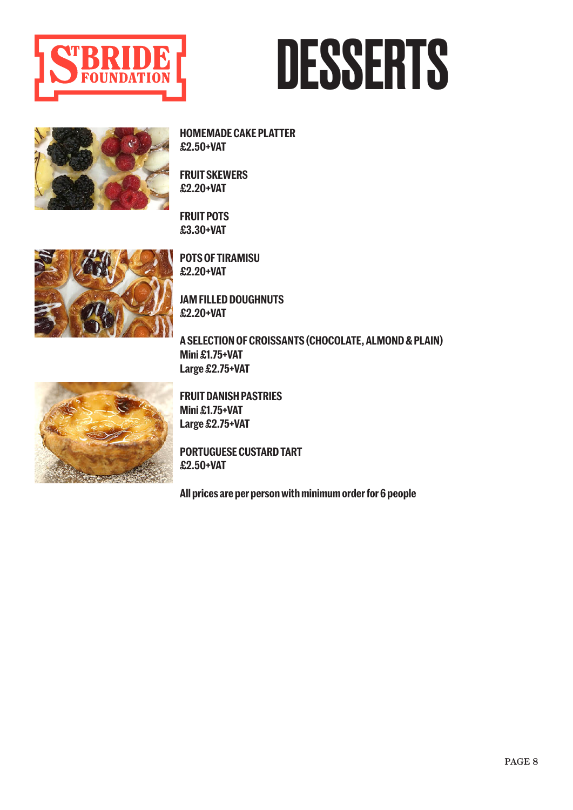

### DESSERTS

**HOMEMADE CAKE PLATTER £2.50+VAT** 

**FRUIT SKEWERS £2.20+VAT** 

**FRUIT POTS £3.30+VAT** 



**POTS OF TIRAMISU £2.20+VAT** 

**JAM FILLED DOUGHNUTS £2.20+VAT** 

**A SELECTION OF CROISSANTS (CHOCOLATE, ALMOND & PLAIN) Mini £1.75+VAT Large £2.75+VAT**



**FRUIT DANISH PASTRIES Mini £1.75+VAT Large £2.75+VAT**

**PORTUGUESE CUSTARD TART £2.50+VAT**

**All prices are per person with minimum order for 6 people**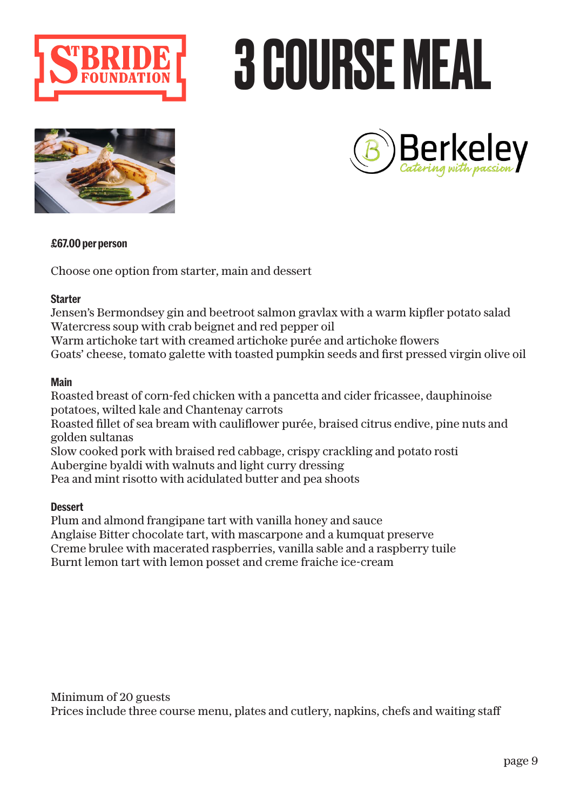

# 3 COURSE MEAL





### **£67.00 per person**

Choose one option from starter, main and dessert

### **Starter**

Jensen's Bermondsey gin and beetroot salmon gravlax with a warm kipfler potato salad Watercress soup with crab beignet and red pepper oil

Warm artichoke tart with creamed artichoke purée and artichoke flowers Goats' cheese, tomato galette with toasted pumpkin seeds and first pressed virgin olive oil

### **Main**

Roasted breast of corn-fed chicken with a pancetta and cider fricassee, dauphinoise potatoes, wilted kale and Chantenay carrots Roasted fillet of sea bream with cauliflower purée, braised citrus endive, pine nuts and golden sultanas Slow cooked pork with braised red cabbage, crispy crackling and potato rosti Aubergine byaldi with walnuts and light curry dressing

Pea and mint risotto with acidulated butter and pea shoots

### **Dessert**

Plum and almond frangipane tart with vanilla honey and sauce Anglaise Bitter chocolate tart, with mascarpone and a kumquat preserve Creme brulee with macerated raspberries, vanilla sable and a raspberry tuile Burnt lemon tart with lemon posset and creme fraiche ice-cream

Minimum of 20 guests

Prices include three course menu, plates and cutlery, napkins, chefs and waiting staff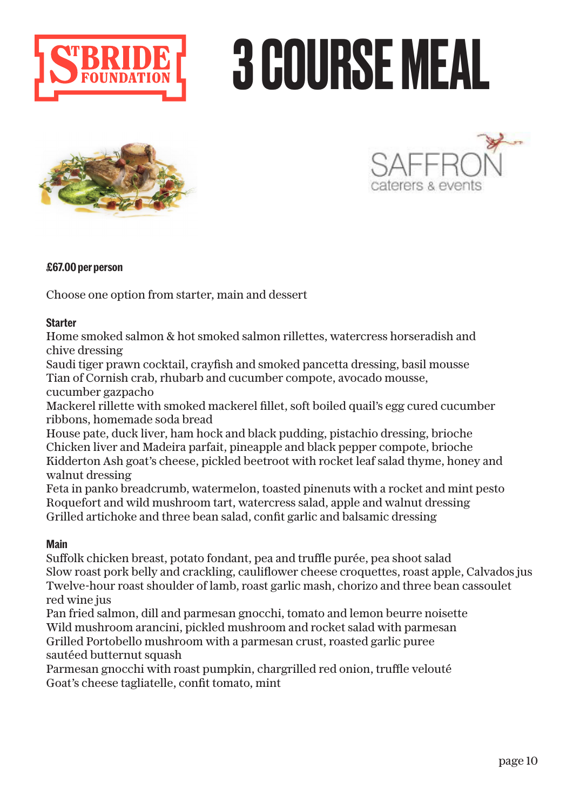

# 3 COURSE MEAL





### **£67.00 per person**

Choose one option from starter, main and dessert

### **Starter**

Home smoked salmon & hot smoked salmon rillettes, watercress horseradish and chive dressing

Saudi tiger prawn cocktail, crayfish and smoked pancetta dressing, basil mousse Tian of Cornish crab, rhubarb and cucumber compote, avocado mousse, cucumber gazpacho

Mackerel rillette with smoked mackerel fillet, soft boiled quail's egg cured cucumber ribbons, homemade soda bread

House pate, duck liver, ham hock and black pudding, pistachio dressing, brioche Chicken liver and Madeira parfait, pineapple and black pepper compote, brioche Kidderton Ash goat's cheese, pickled beetroot with rocket leaf salad thyme, honey and walnut dressing

Feta in panko breadcrumb, watermelon, toasted pinenuts with a rocket and mint pesto Roquefort and wild mushroom tart, watercress salad, apple and walnut dressing Grilled artichoke and three bean salad, confit garlic and balsamic dressing

### **Main**

Suffolk chicken breast, potato fondant, pea and truffle purée, pea shoot salad Slow roast pork belly and crackling, cauliflower cheese croquettes, roast apple, Calvados jus Twelve-hour roast shoulder of lamb, roast garlic mash, chorizo and three bean cassoulet red wine jus

Pan fried salmon, dill and parmesan gnocchi, tomato and lemon beurre noisette Wild mushroom arancini, pickled mushroom and rocket salad with parmesan Grilled Portobello mushroom with a parmesan crust, roasted garlic puree sautéed butternut squash

Parmesan gnocchi with roast pumpkin, chargrilled red onion, truffle velouté Goat's cheese tagliatelle, confit tomato, mint